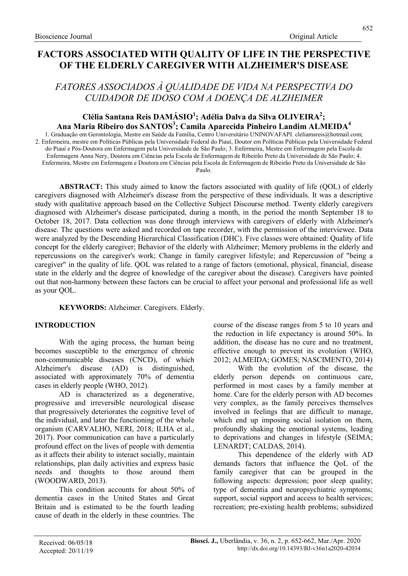# FATORES ASSOCIADOS À QUALIDADE DE VIDA NA PERSPECTIVA DO CUIDADOR DE IDOSO COM A DOENÇA DE ALZHEIMER

## Clélia Santana Reis DAMÁSIO<sup>1</sup>; Adélia Dalva da Silva OLIVEIRA<sup>2</sup>; Ana Maria Ribeiro dos SANTOS $^3 ;$  Camila Aparecida Pinheiro Landim ALMEIDA $^4$

1. Graduação em Gerontologia, Mestre em Saúde da Família, Centro Universitário UNINOVAFAPI. cleliamsreis@hotmail.com; 2. Enfermeira, mestre em Políticas Públicas pela Universidade Federal do Piauí, Doutor em Políticas Públicas pela Universidade Federal do Piauí e Pós-Doutora em Enfermagem pela Universidade de São Paulo; 3. Enfermeira, Mestre em Enfermagem pela Escola de Enfermagem Anna Nery, Doutora em Ciências pela Escola de Enfermagem de Ribeirão Preto da Universidade de São Paulo; 4. Enfermeira, Mestre em Enfermagem e Doutora em Ciências pela Escola de Enfermagem de Ribeirão Preto da Universidade de São Paulo.

ABSTRACT: This study aimed to know the factors associated with quality of life (QOL) of elderly caregivers diagnosed with Alzheimer's disease from the perspective of these individuals. It was a descriptive study with qualitative approach based on the Collective Subject Discourse method. Twenty elderly caregivers diagnosed with Alzheimer's disease participated, during a month, in the period the month September 18 to October 18, 2017. Data collection was done through interviews with caregivers of elderly with Alzheimer's disease. The questions were asked and recorded on tape recorder, with the permission of the interviewee. Data were analyzed by the Descending Hierarchical Classification (DHC). Five classes were obtained: Quality of life concept for the elderly caregiver; Behavior of the elderly with Alzheimer; Memory problems in the elderly and repercussions on the caregiver's work; Change in family caregiver lifestyle; and Repercussion of "being a caregiver" in the quality of life. QOL was related to a range of factors (emotional, physical, financial, disease state in the elderly and the degree of knowledge of the caregiver about the disease). Caregivers have pointed out that non-harmony between these factors can be crucial to affect your personal and professional life as well as your QOL.

KEYWORDS: Alzheimer. Caregivers. Elderly.

## INTRODUCTION

With the aging process, the human being becomes susceptible to the emergence of chronic non-communicable diseases (CNCD), of which Alzheimer's disease (AD) is distinguished, associated with approximately 70% of dementia cases in elderly people (WHO, 2012).

AD is characterized as a degenerative, progressive and irreversible neurological disease that progressively deteriorates the cognitive level of the individual, and later the functioning of the whole organism (CARVALHO, NERI, 2018; ILHA et al., 2017). Poor communication can have a particularly profound effect on the lives of people with dementia as it affects their ability to interact socially, maintain relationships, plan daily activities and express basic needs and thoughts to those around them (WOODWARD, 2013).

This condition accounts for about 50% of dementia cases in the United States and Great Britain and is estimated to be the fourth leading cause of death in the elderly in these countries. The course of the disease ranges from 5 to 10 years and the reduction in life expectancy is around 50%. In addition, the disease has no cure and no treatment, effective enough to prevent its evolution (WHO, 2012; ALMEIDA; GOMES; NASCIMENTO, 2014)

With the evolution of the disease, the elderly person depends on continuous care, performed in most cases by a family member at home. Care for the elderly person with AD becomes very complex, as the family perceives themselves involved in feelings that are difficult to manage, which end up imposing social isolation on them, profoundly shaking the emotional systems, leading to deprivations and changes in lifestyle (SEIMA; LENARDT; CALDAS, 2014).

This dependence of the elderly with AD demands factors that influence the QoL of the family caregiver that can be grouped in the following aspects: depression; poor sleep quality; type of dementia and neuropsychiatric symptoms; support, social support and access to health services; recreation; pre-existing health problems; subsidized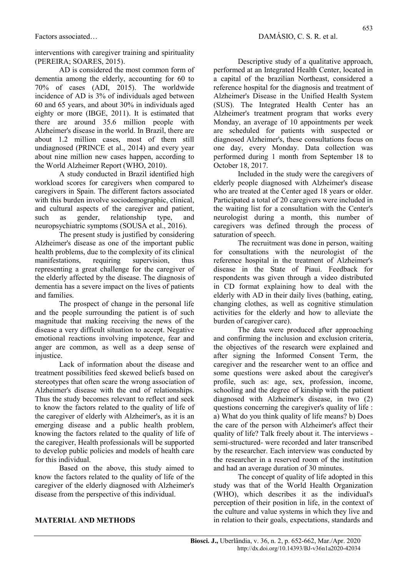interventions with caregiver training and spirituality (PEREIRA; SOARES, 2015).

AD is considered the most common form of dementia among the elderly, accounting for 60 to 70% of cases (ADI, 2015). The worldwide incidence of AD is 3% of individuals aged between 60 and 65 years, and about 30% in individuals aged eighty or more (IBGE, 2011). It is estimated that there are around 35.6 million people with Alzheimer's disease in the world. In Brazil, there are about 1.2 million cases, most of them still undiagnosed (PRINCE et al., 2014) and every year about nine million new cases happen, according to the World Alzheimer Report (WHO, 2010).

A study conducted in Brazil identified high workload scores for caregivers when compared to caregivers in Spain. The different factors associated with this burden involve sociodemographic, clinical, and cultural aspects of the caregiver and patient, such as gender, relationship type, and neuropsychiatric symptoms (SOUSA et al., 2016).

The present study is justified by considering Alzheimer's disease as one of the important public health problems, due to the complexity of its clinical manifestations, requiring supervision, thus representing a great challenge for the caregiver of the elderly affected by the disease. The diagnosis of dementia has a severe impact on the lives of patients and families.

The prospect of change in the personal life and the people surrounding the patient is of such magnitude that making receiving the news of the disease a very difficult situation to accept. Negative emotional reactions involving impotence, fear and anger are common, as well as a deep sense of injustice.

Lack of information about the disease and treatment possibilities feed skewed beliefs based on stereotypes that often scare the wrong association of Alzheimer's disease with the end of relationships. Thus the study becomes relevant to reflect and seek to know the factors related to the quality of life of the caregiver of elderly with Alzheimer's, as it is an emerging disease and a public health problem, knowing the factors related to the quality of life of the caregiver, Health professionals will be supported to develop public policies and models of health care for this individual.

Based on the above, this study aimed to know the factors related to the quality of life of the caregiver of the elderly diagnosed with Alzheimer's disease from the perspective of this individual.

#### Descriptive study of a qualitative approach, performed at an Integrated Health Center, located in a capital of the brazilian Northeast, considered a reference hospital for the diagnosis and treatment of Alzheimer's Disease in the Unified Health System (SUS). The Integrated Health Center has an Alzheimer's treatment program that works every Monday, an average of 10 appointments per week are scheduled for patients with suspected or diagnosed Alzheimer's, these consultations focus on one day, every Monday. Data collection was performed during 1 month from September 18 to October 18, 2017.

Included in the study were the caregivers of elderly people diagnosed with Alzheimer's disease who are treated at the Center aged 18 years or older. Participated a total of 20 caregivers were included in the waiting list for a consultation with the Center's neurologist during a month, this number of caregivers was defined through the process of saturation of speech.

The recruitment was done in person, waiting for consultations with the neurologist of the reference hospital in the treatment of Alzheimer's disease in the State of Piaui. Feedback for respondents was given through a video distributed in CD format explaining how to deal with the elderly with AD in their daily lives (bathing, eating, changing clothes, as well as cognitive stimulation activities for the elderly and how to alleviate the burden of caregiver care).

The data were produced after approaching and confirming the inclusion and exclusion criteria, the objectives of the research were explained and after signing the Informed Consent Term, the caregiver and the researcher went to an office and some questions were asked about the caregiver's profile, such as: age, sex, profession, income, schooling and the degree of kinship with the patient diagnosed with Alzheimer's disease, in two (2) questions concerning the caregiver's quality of life : a) What do you think quality of life means? b) Does the care of the person with Alzheimer's affect their quality of life? Talk freely about it. The interviews semi-structured- were recorded and later transcribed by the researcher. Each interview was conducted by the researcher in a reserved room of the institution and had an average duration of 30 minutes.

The concept of quality of life adopted in this study was that of the World Health Organization (WHO), which describes it as the individual's perception of their position in life, in the context of the culture and value systems in which they live and in relation to their goals, expectations, standards and

### MATERIAL AND METHODS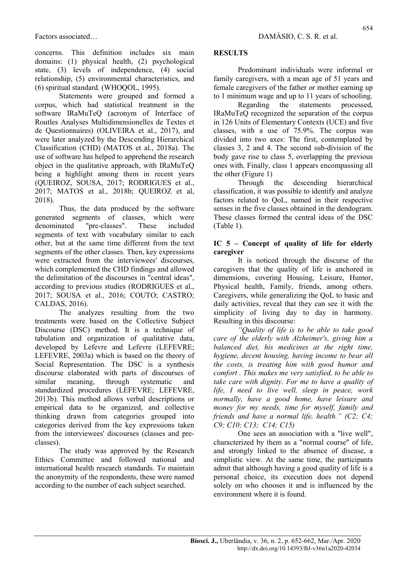concerns. This definition includes six main domains: (1) physical health, (2) psychological state, (3) levels of independence, (4) social relationship, (5) environmental characteristics, and (6) spiritual standard. (WHOQOL, 1995).

Statements were grouped and formed a corpus, which had statistical treatment in the software IRaMuTeQ (acronym of Interface of Routles Analyses Multidimensionelles de Textes et de Questionnaires) (OLIVEIRA et al., 2017), and were later analyzed by the Descending Hierarchical Classification (CHD) (MATOS et al., 2018a). The use of software has helped to apprehend the research object in the qualitative approach, with IRaMuTeQ being a highlight among them in recent years (QUEIROZ, SOUSA, 2017; RODRIGUES et al., 2017; MATOS et al., 2018b; QUEIROZ et al, 2018).

Thus, the data produced by the software generated segments of classes, which were denominated "pre-classes". These included segments of text with vocabulary similar to each other, but at the same time different from the text segments of the other classes. Then, key expressions were extracted from the interviewees' discourses, which complemented the CHD findings and allowed the delimitation of the discourses in "central ideas", according to previous studies (RODRIGUES et al., 2017; SOUSA et al., 2016; COUTO; CASTRO; CALDAS, 2016).

The analyzes resulting from the two treatments were based on the Collective Subject Discourse (DSC) method. It is a technique of tabulation and organization of qualitative data, developed by Lefevre and Lefevre (LEFEVRE; LEFEVRE, 2003a) which is based on the theory of Social Representation. The DSC is a synthesis discourse elaborated with parts of discourses of similar meaning, through systematic and standardized procedures (LEFEVRE; LEFEVRE, 2013b). This method allows verbal descriptions or empirical data to be organized, and collective thinking drawn from categories grouped into categories derived from the key expressions taken from the interviewees' discourses (classes and preclasses).

The study was approved by the Research Ethics Committee and followed national and international health research standards. To maintain the anonymity of the respondents, these were named according to the number of each subject searched.

## RESULTS

Predominant individuals were informal or family caregivers, with a mean age of 51 years and female caregivers of the father or mother earning up to 1 minimum wage and up to 11 years of schooling.

Regarding the statements processed, IRaMuTeQ recognized the separation of the corpus in 126 Units of Elementary Contexts (UCE) and five classes, with a use of 75.9%. The corpus was divided into two axes: The first, contemplated by classes 3, 2 and 4. The second sub-division of the body gave rise to class 5, overlapping the previous ones with. Finally, class 1 appears encompassing all the other (Figure 1)

Through the descending hierarchical classification, it was possible to identify and analyze factors related to QoL, named in their respective senses in the five classes obtained in the dendogram. These classes formed the central ideas of the DSC (Table 1).

#### IC 5 – Concept of quality of life for elderly caregiver

It is noticed through the discurse of the caregivers that the quality of life is anchored in dimensions, covering Housing, Leisure, Humor, Physical health, Family, friends, among others. Caregivers, while generalizing the QoL to basic and daily activities, reveal that they can see it with the simplicity of living day to day in harmony. Resulting in this discourse:

"Quality of life is to be able to take good care of the elderly with Alzheimer's, giving him a balanced diet, his medicines at the right time, hygiene, decent housing, having income to bear all the costs, is treating him with good humor and comfort . This makes me very satisfied, to be able to take care with dignity. For me to have a quality of life, I need to live well, sleep in peace, work normally, have a good home, have leisure and money for my needs, time for myself, family and friends and have a normal life, health."  $(C2; C4; C4)$ C9; C10; C13; C14; C15)

One sees an association with a "live well", characterized by them as a "normal course" of life, and strongly linked to the absence of disease, a simplistic view. At the same time, the participants admit that although having a good quality of life is a personal choice, its execution does not depend solely on who chooses it and is influenced by the environment where it is found.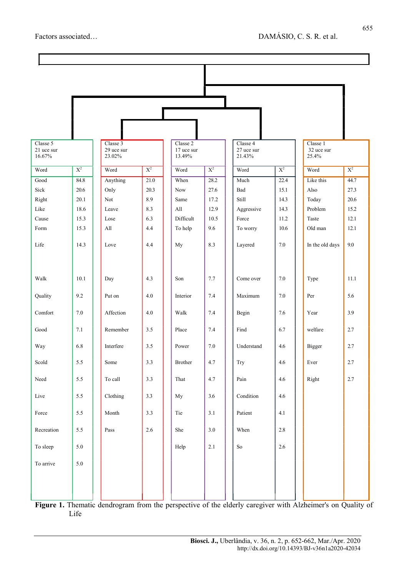| Classe 5             |       | Classe 3                          |         | Classe 2             |                  | Classe 4                   |                  | Classe 1            |         |
|----------------------|-------|-----------------------------------|---------|----------------------|------------------|----------------------------|------------------|---------------------|---------|
| 21 uce sur<br>16.67% |       | 29 uce sur<br>23.02%              |         | 17 uce sur<br>13.49% |                  | 27 uce sur<br>21.43%       |                  | 32 uce sur<br>25.4% |         |
| Word                 | $X^2$ | Word                              | $X^2$   | Word                 | $\overline{X^2}$ | Word                       | $X^2$            | Word                | $X^2$   |
| Good                 | 84.8  | Anything                          | 21.0    | When                 | 28.2             | Much                       | 22.4             | Like this           | 44.7    |
| Sick                 | 20.6  | Only                              | 20.3    | Now                  | 27.6             | Bad                        | 15.1             | Also                | 27.3    |
| Right                | 20.1  | Not                               | 8.9     | Same                 | 17.2             | Still                      | 14.3             | Today               | 20.6    |
| Like                 | 18.6  | Leave                             | 8.3     | All                  | 12.9             | Aggressive                 | 14.3             | Problem             | 15.2    |
| Cause                | 15.3  | Lose                              | 6.3     | Difficult            | 10.5             | Force                      | 11.2             | Taste               | 12.1    |
| Form                 | 15.3  | All                               | 4.4     | To help              | 9.6              | To worry                   | 10.6             | Old man             | 12.1    |
| Life                 | 14.3  | Love                              | $4.4\,$ | My                   | 8.3              | Layered                    | $7.0\,$          | In the old days     | 9.0     |
| Walk                 | 10.1  | Day                               | 4.3     | Son                  | 7.7              | Come over                  | $7.0\,$          | Type                | 11.1    |
| Quality              | 9.2   | Put on                            | $4.0\,$ | Interior             | 7.4              | Maximum                    | 7.0              | Per                 | 5.6     |
| Comfort              | 7.0   | Affection                         | $4.0\,$ | Walk                 | 7.4              | Begin                      | 7.6              | Year                | 3.9     |
| Good                 | 7.1   | Remember                          | 3.5     | Place                | 7.4              | Find                       | 6.7              | welfare             | 2.7     |
| Way                  | 6.8   | Interfere                         | 3.5     | Power                | 7.0              | Understand                 | 4.6              | Bigger              | 2.7     |
| Scold                | 5.5   | Some                              | $3.3\,$ | ${\it Brother}$      | 4.7              | Try                        | $4.6\,$          | ${\rm Ever}$        | $2.7\,$ |
| $\rm Need$           | 5.5   | $\operatorname{\mathsf{To}}$ call | 3.3     | That                 | 4.7              | Pain                       | 4.6              | Right               | $2.7\,$ |
| Live                 | 5.5   | Clothing                          | 3.3     | My                   | 3.6              | $\operatorname{Condition}$ | $4.6\phantom{0}$ |                     |         |
| Force                | 5.5   | Month                             | 3.3     | Tie                  | 3.1              | Patient                    | 4.1              |                     |         |
| Recreation           | 5.5   | Pass                              | $2.6\,$ | She                  | $3.0\,$          | When                       | 2.8              |                     |         |
| To sleep             | 5.0   |                                   |         | Help                 | 2.1              | So                         | $2.6\,$          |                     |         |
| To arrive            | 5.0   |                                   |         |                      |                  |                            |                  |                     |         |
|                      |       |                                   |         |                      |                  |                            |                  |                     |         |
|                      |       |                                   |         |                      |                  |                            |                  |                     |         |

Figure 1. Thematic dendrogram from the perspective of the elderly caregiver with Alzheimer's on Quality of Life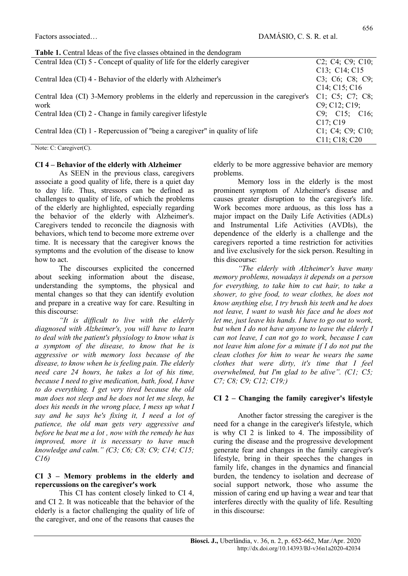| <b>Table 1.</b> Central Ideas of the five classes obtained in the dendogram            |                              |  |  |
|----------------------------------------------------------------------------------------|------------------------------|--|--|
| Central Idea (CI) 5 - Concept of quality of life for the elderly caregiver             | C2; C4; C9; C10;             |  |  |
|                                                                                        | C13; C14; C15                |  |  |
| Central Idea (CI) 4 - Behavior of the elderly with Alzheimer's                         | C3; C6; C8; C9;              |  |  |
|                                                                                        | C14; C15; C16                |  |  |
| Central Idea (CI) 3-Memory problems in the elderly and repercussion in the caregiver's | C1; C5; C7; C8;              |  |  |
| work                                                                                   | C9; C12; C19;                |  |  |
| Central Idea (CI) 2 - Change in family caregiver lifestyle                             | $C9$ ; $C15$ ; $C16$ ;       |  |  |
|                                                                                        | C17; C19                     |  |  |
| Central Idea (CI) 1 - Repercussion of "being a caregiver" in quality of life           | $C1$ ; $C4$ ; $C9$ ; $C10$ ; |  |  |
|                                                                                        | C11; C18; C20                |  |  |

Note: C: Caregiver(C).

#### CI 4 – Behavior of the elderly with Alzheimer

As SEEN in the previous class, caregivers associate a good quality of life, there is a quiet day to day life. Thus, stressors can be defined as challenges to quality of life, of which the problems of the elderly are highlighted, especially regarding the behavior of the elderly with Alzheimer's. Caregivers tended to reconcile the diagnosis with behaviors, which tend to become more extreme over time. It is necessary that the caregiver knows the symptoms and the evolution of the disease to know how to act.

The discourses explicited the concerned about seeking information about the disease, understanding the symptoms, the physical and mental changes so that they can identify evolution and prepare in a creative way for care. Resulting in this discourse:

"It is difficult to live with the elderly diagnosed with Alzheimer's, you will have to learn to deal with the patient's physiology to know what is a symptom of the disease, to know that he is aggressive or with memory loss because of the disease, to know when he is feeling pain. The elderly need care 24 hours, he takes a lot of his time, because I need to give medication, bath, food, I have to do everything. I get very tired because the old man does not sleep and he does not let me sleep, he does his needs in the wrong place, I mess up what I say and he says he's fixing it, I need a lot of patience, the old man gets very aggressive and before he beat me a lot , now with the remedy he has improved, more it is necessary to have much knowledge and calm." (C3; C6; C8; C9; C14; C15; C16)

#### CI 3 – Memory problems in the elderly and repercussions on the caregiver's work

This CI has content closely linked to CI 4, and CI 2. It was noticeable that the behavior of the elderly is a factor challenging the quality of life of the caregiver, and one of the reasons that causes the elderly to be more aggressive behavior are memory problems.

Memory loss in the elderly is the most prominent symptom of Alzheimer's disease and causes greater disruption to the caregiver's life. Work becomes more arduous, as this loss has a major impact on the Daily Life Activities (ADLs) and Instrumental Life Activities (AVDIs), the dependence of the elderly is a challenge and the caregivers reported a time restriction for activities and live exclusively for the sick person. Resulting in this discourse:

"The elderly with Alzheimer's have many memory problems, nowadays it depends on a person for everything, to take him to cut hair, to take a shower, to give food, to wear clothes, he does not know anything else, I try brush his teeth and he does not leave, I want to wash his face and he does not let me, just leave his hands. I have to go out to work, but when I do not have anyone to leave the elderly I can not leave, I can not go to work, because I can not leave him alone for a minute if I do not put the clean clothes for him to wear he wears the same clothes that were dirty, it's time that I feel overwhelmed, but I'm glad to be alive".  $(C1; C5; C2)$ C7; C8; C9; C12; C19;)

### CI 2 – Changing the family caregiver's lifestyle

Another factor stressing the caregiver is the need for a change in the caregiver's lifestyle, which is why CI 2 is linked to 4. The impossibility of curing the disease and the progressive development generate fear and changes in the family caregiver's lifestyle, bring in their speeches the changes in family life, changes in the dynamics and financial burden, the tendency to isolation and decrease of social support network, those who assume the mission of caring end up having a wear and tear that interferes directly with the quality of life. Resulting in this discourse: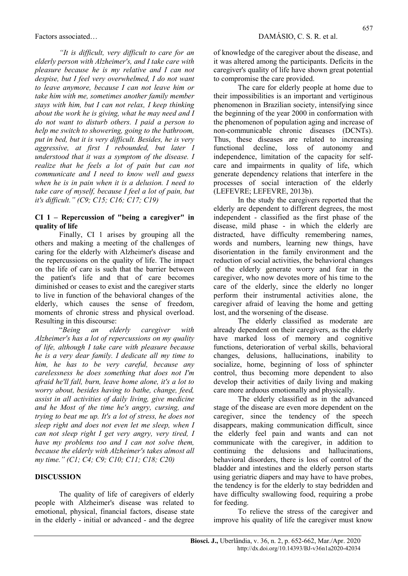"It is difficult, very difficult to care for an elderly person with Alzheimer's, and I take care with pleasure because he is my relative and I can not despise, but I feel very overwhelmed, I do not want to leave anymore, because I can not leave him or take him with me, sometimes another family member stays with him, but I can not relax, I keep thinking about the work he is giving, what he may need and I do not want to disturb others. I paid a person to help me switch to showering, going to the bathroom, put in bed, but it is very difficult. Besides, he is very aggressive, at first I rebounded, but later I understood that it was a symptom of the disease. I realize that he feels a lot of pain but can not communicate and I need to know well and guess when he is in pain when it is a delusion. I need to take care of myself, because I feel a lot of pain, but it's difficult." (C9; C15; C16; C17; C19)

#### CI 1 – Repercussion of "being a caregiver" in quality of life

Finally, CI 1 arises by grouping all the others and making a meeting of the challenges of caring for the elderly with Alzheimer's disease and the repercussions on the quality of life. The impact on the life of care is such that the barrier between the patient's life and that of care becomes diminished or ceases to exist and the caregiver starts to live in function of the behavioral changes of the elderly, which causes the sense of freedom, moments of chronic stress and physical overload. Resulting in this discourse:

"Being an elderly caregiver with Alzheimer's has a lot of repercussions on my quality of life, although I take care with pleasure because he is a very dear family. I dedicate all my time to him, he has to be very careful, because any carelessness he does something that does not I'm afraid he'll fall, burn, leave home alone, it's a lot to worry about, besides having to bathe, change, feed, assist in all activities of daily living, give medicine and he Most of the time he's angry, cursing, and trying to beat me up. It's a lot of stress, he does not sleep right and does not even let me sleep, when I can not sleep right I get very angry, very tired, I have my problems too and I can not solve them, because the elderly with Alzheimer's takes almost all my time." (C1; C4; C9; C10; C11; C18; C20)

## **DISCUSSION**

The quality of life of caregivers of elderly people with Alzheimer's disease was related to emotional, physical, financial factors, disease state in the elderly - initial or advanced - and the degree of knowledge of the caregiver about the disease, and it was altered among the participants. Deficits in the caregiver's quality of life have shown great potential to compromise the care provided.

The care for elderly people at home due to their impossibilities is an important and vertiginous phenomenon in Brazilian society, intensifying since the beginning of the year 2000 in conformation with the phenomenon of population aging and increase of non-communicable chronic diseases (DCNTs). Thus, these diseases are related to increasing functional decline, loss of autonomy and independence, limitation of the capacity for selfcare and impairments in quality of life, which generate dependency relations that interfere in the processes of social interaction of the elderly (LEFEVRE; LEFEVRE, 2013b).

In the study the caregivers reported that the elderly are dependent to different degrees, the most independent - classified as the first phase of the disease, mild phase - in which the elderly are distracted, have difficulty remembering names, words and numbers, learning new things, have disorientation in the family environment and the reduction of social activities, the behavioral changes of the elderly generate worry and fear in the caregiver, who now devotes more of his time to the care of the elderly, since the elderly no longer perform their instrumental activities alone, the caregiver afraid of leaving the home and getting lost, and the worsening of the disease.

The elderly classified as moderate are already dependent on their caregivers, as the elderly have marked loss of memory and cognitive functions, deterioration of verbal skills, behavioral changes, delusions, hallucinations, inability to socialize, home, beginning of loss of sphincter control, thus becoming more dependent to also develop their activities of daily living and making care more arduous emotionally and physically.

The elderly classified as in the advanced stage of the disease are even more dependent on the caregiver, since the tendency of the speech disappears, making communication difficult, since the elderly feel pain and wants and can not communicate with the caregiver, in addition to continuing the delusions and hallucinations, behavioral disorders, there is loss of control of the bladder and intestines and the elderly person starts using geriatric diapers and may have to have probes, the tendency is for the elderly to stay bedridden and have difficulty swallowing food, requiring a probe for feeding.

To relieve the stress of the caregiver and improve his quality of life the caregiver must know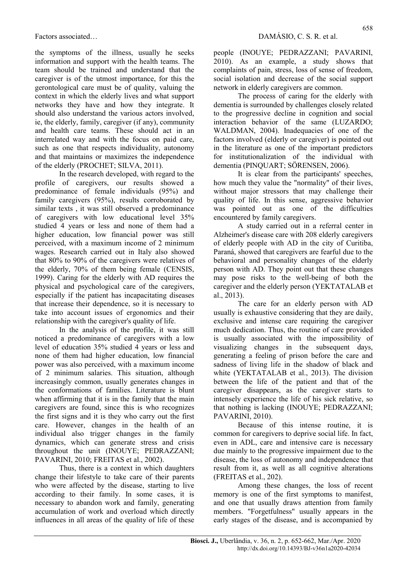the symptoms of the illness, usually he seeks information and support with the health teams. The team should be trained and understand that the caregiver is of the utmost importance, for this the gerontological care must be of quality, valuing the context in which the elderly lives and what support networks they have and how they integrate. It should also understand the various actors involved, ie, the elderly, family, caregiver (if any), community and health care teams. These should act in an interrelated way and with the focus on paid care, such as one that respects individuality, autonomy and that maintains or maximizes the independence of the elderly (PROCHET; SILVA, 2011).

In the research developed, with regard to the profile of caregivers, our results showed a predominance of female individuals (95%) and family caregivers (95%), results corroborated by similar texts , it was still observed a predominance of caregivers with low educational level 35% studied 4 years or less and none of them had a higher education, low financial power was still perceived, with a maximum income of 2 minimum wages. Research carried out in Italy also showed that 80% to 90% of the caregivers were relatives of the elderly, 70% of them being female (CENSIS, 1999). Caring for the elderly with AD requires the physical and psychological care of the caregivers, especially if the patient has incapacitating diseases that increase their dependence, so it is necessary to take into account issues of ergonomics and their relationship with the caregiver's quality of life.

In the analysis of the profile, it was still noticed a predominance of caregivers with a low level of education 35% studied 4 years or less and none of them had higher education, low financial power was also perceived, with a maximum income of 2 minimum salaries. This situation, although increasingly common, usually generates changes in the conformations of families. Literature is blunt when affirming that it is in the family that the main caregivers are found, since this is who recognizes the first signs and it is they who carry out the first care. However, changes in the health of an individual also trigger changes in the family dynamics, which can generate stress and crisis throughout the unit (INOUYE; PEDRAZZANI; PAVARINI, 2010; FREITAS et al., 2002).

Thus, there is a context in which daughters change their lifestyle to take care of their parents who were affected by the disease, starting to live according to their family. In some cases, it is necessary to abandon work and family, generating accumulation of work and overload which directly influences in all areas of the quality of life of these people (INOUYE; PEDRAZZANI; PAVARINI, 2010). As an example, a study shows that complaints of pain, stress, loss of sense of freedom, social isolation and decrease of the social support network in elderly caregivers are common.

The process of caring for the elderly with dementia is surrounded by challenges closely related to the progressive decline in cognition and social interaction behavior of the same (LUZARDO; WALDMAN, 2004). Inadequacies of one of the factors involved (elderly or caregiver) is pointed out in the literature as one of the important predictors for institutionalization of the individual with dementia (PINQUART; SÖRENSEN, 2006).

It is clear from the participants' speeches, how much they value the "normality" of their lives, without major stressors that may challenge their quality of life. In this sense, aggressive behavior was pointed out as one of the difficulties encountered by family caregivers.

A study carried out in a referral center in Alzheimer's disease care with 208 elderly caregivers of elderly people with AD in the city of Curitiba, Paraná, showed that caregivers are fearful due to the behavioral and personality changes of the elderly person with AD. They point out that these changes may pose risks to the well-being of both the caregiver and the elderly person (YEKTATALAB et al., 2013).

The care for an elderly person with AD usually is exhaustive considering that they are daily, exclusive and intense care requiring the caregiver much dedication. Thus, the routine of care provided is usually associated with the impossibility of visualizing changes in the subsequent days, generating a feeling of prison before the care and sadness of living life in the shadow of black and white (YEKTATALAB et al., 2013). The division between the life of the patient and that of the caregiver disappears, as the caregiver starts to intensely experience the life of his sick relative, so that nothing is lacking (INOUYE; PEDRAZZANI; PAVARINI, 2010).

Because of this intense routine, it is common for caregivers to deprive social life. In fact, even in ADL, care and intensive care is necessary due mainly to the progressive impairment due to the disease, the loss of autonomy and independence that result from it, as well as all cognitive alterations (FREITAS et al., 202).

Among these changes, the loss of recent memory is one of the first symptoms to manifest, and one that usually draws attention from family members. "Forgetfulness" usually appears in the early stages of the disease, and is accompanied by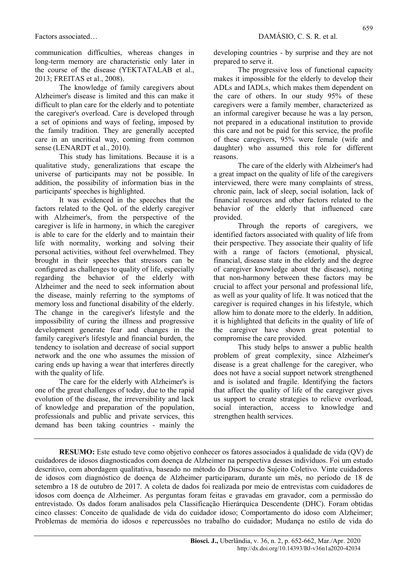communication difficulties, whereas changes in long-term memory are characteristic only later in the course of the disease (YEKTATALAB et al., 2013; FREITAS et al., 2008).

The knowledge of family caregivers about Alzheimer's disease is limited and this can make it difficult to plan care for the elderly and to potentiate the caregiver's overload. Care is developed through a set of opinions and ways of feeling, imposed by the family tradition. They are generally accepted care in an uncritical way, coming from common sense (LENARDT et al., 2010).

This study has limitations. Because it is a qualitative study, generalizations that escape the universe of participants may not be possible. In addition, the possibility of information bias in the participants' speeches is highlighted.

It was evidenced in the speeches that the factors related to the QoL of the elderly caregiver with Alzheimer's, from the perspective of the caregiver is life in harmony, in which the caregiver is able to care for the elderly and to maintain their life with normality, working and solving their personal activities, without feel overwhelmed. They brought in their speeches that stressors can be configured as challenges to quality of life, especially regarding the behavior of the elderly with Alzheimer and the need to seek information about the disease, mainly referring to the symptoms of memory loss and functional disability of the elderly. The change in the caregiver's lifestyle and the impossibility of curing the illness and progressive development generate fear and changes in the family caregiver's lifestyle and financial burden, the tendency to isolation and decrease of social support network and the one who assumes the mission of caring ends up having a wear that interferes directly with the quality of life.

The care for the elderly with Alzheimer's is one of the great challenges of today, due to the rapid evolution of the disease, the irreversibility and lack of knowledge and preparation of the population, professionals and public and private services, this demand has been taking countries - mainly the developing countries - by surprise and they are not prepared to serve it.

The progressive loss of functional capacity makes it impossible for the elderly to develop their ADLs and IADLs, which makes them dependent on the care of others. In our study  $95\%$  of these caregivers were a family member, characterized as an informal caregiver because he was a lay person, not prepared in a educational institution to provide this care and not be paid for this service, the profile of these caregivers, 95% were female (wife and daughter) who assumed this role for different reasons.

The care of the elderly with Alzheimer's had a great impact on the quality of life of the caregivers interviewed, there were many complaints of stress, chronic pain, lack of sleep, social isolation, lack of financial resources and other factors related to the behavior of the elderly that influenced care provided.

Through the reports of caregivers, we identified factors associated with quality of life from their perspective. They associate their quality of life with a range of factors (emotional, physical, financial, disease state in the elderly and the degree of caregiver knowledge about the disease), noting that non-harmony between these factors may be crucial to affect your personal and professional life, as well as your quality of life. It was noticed that the caregiver is required changes in his lifestyle, which allow him to donate more to the elderly. In addition, it is highlighted that deficits in the quality of life of the caregiver have shown great potential to compromise the care provided.

This study helps to answer a public health problem of great complexity, since Alzheimer's disease is a great challenge for the caregiver, who does not have a social support network strengthened and is isolated and fragile. Identifying the factors that affect the quality of life of the caregiver gives us support to create strategies to relieve overload, social interaction, access to knowledge and strengthen health services.

RESUMO: Este estudo teve como objetivo conhecer os fatores associados à qualidade de vida (QV) de cuidadores de idosos diagnosticados com doença de Alzheimer na perspectiva desses indivíduos. Foi um estudo descritivo, com abordagem qualitativa, baseado no método do Discurso do Sujeito Coletivo. Vinte cuidadores de idosos com diagnóstico de doença de Alzheimer participaram, durante um mês, no período de 18 de setembro a 18 de outubro de 2017. A coleta de dados foi realizada por meio de entrevistas com cuidadores de idosos com doença de Alzheimer. As perguntas foram feitas e gravadas em gravador, com a permissão do entrevistado. Os dados foram analisados pela Classificação Hierárquica Descendente (DHC). Foram obtidas cinco classes: Conceito de qualidade de vida do cuidador idoso; Comportamento do idoso com Alzheimer; Problemas de memória do idosos e repercussões no trabalho do cuidador; Mudança no estilo de vida do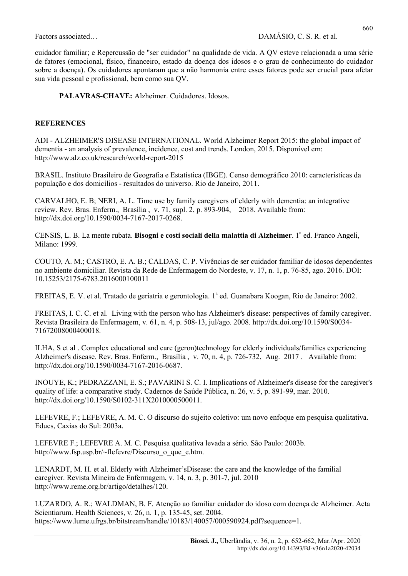cuidador familiar; e Repercussão de "ser cuidador" na qualidade de vida. A QV esteve relacionada a uma série de fatores (emocional, físico, financeiro, estado da doença dos idosos e o grau de conhecimento do cuidador sobre a doença). Os cuidadores apontaram que a não harmonia entre esses fatores pode ser crucial para afetar sua vida pessoal e profissional, bem como sua QV.

PALAVRAS-CHAVE: Alzheimer. Cuidadores. Idosos.

#### **REFERENCES**

ADI - ALZHEIMER'S DISEASE INTERNATIONAL. World Alzheimer Report 2015: the global impact of dementia - an analysis of prevalence, incidence, cost and trends. London, 2015. Disponível em: http://www.alz.co.uk/research/world-report-2015

BRASIL. Instituto Brasileiro de Geografia e Estatística (IBGE). Censo demográfico 2010: características da população e dos domicílios - resultados do universo. Rio de Janeiro, 2011.

CARVALHO, E. B; NERI, A. L. Time use by family caregivers of elderly with dementia: an integrative review. Rev. Bras. Enferm., Brasília , v. 71, supl. 2, p. 893-904, 2018. Available from: http://dx.doi.org/10.1590/0034-7167-2017-0268.

CENSIS, L. B. La mente rubata. Bisogni e costi sociali della malattia di Alzheimer. 1ª ed. Franco Angeli, Milano: 1999.

COUTO, A. M.; CASTRO, E. A. B.; CALDAS, C. P. Vivências de ser cuidador familiar de idosos dependentes no ambiente domiciliar. Revista da Rede de Enfermagem do Nordeste, v. 17, n. 1, p. 76-85, ago. 2016. DOI: 10.15253/2175-6783.2016000100011

FREITAS, E. V. et al. Tratado de geriatria e gerontologia. 1ª ed. Guanabara Koogan, Rio de Janeiro: 2002.

FREITAS, I. C. C. et al. Living with the person who has Alzheimer's disease: perspectives of family caregiver. Revista Brasileira de Enfermagem, v. 61, n. 4, p. 508-13, jul/ago. 2008. http://dx.doi.org/10.1590/S0034- 71672008000400018.

ILHA, S et al . Complex educational and care (geron)technology for elderly individuals/families experiencing Alzheimer's disease. Rev. Bras. Enferm., Brasília , v. 70, n. 4, p. 726-732, Aug. 2017 . Available from: http://dx.doi.org/10.1590/0034-7167-2016-0687.

INOUYE, K.; PEDRAZZANI, E. S.; PAVARINI S. C. I. Implications of Alzheimer's disease for the caregiver's quality of life: a comparative study. Cadernos de Saúde Pública, n. 26, v. 5, p. 891-99, mar. 2010. http://dx.doi.org/10.1590/S0102-311X2010000500011.

LEFEVRE, F.; LEFEVRE, A. M. C. O discurso do sujeito coletivo: um novo enfoque em pesquisa qualitativa. Educs, Caxias do Sul: 2003a.

LEFEVRE F.; LEFEVRE A. M. C. Pesquisa qualitativa levada a sério. São Paulo: 2003b. http://www.fsp.usp.br/~flefevre/Discurso\_o\_que\_e.htm.

LENARDT, M. H. et al. Elderly with Alzheimer'sDisease: the care and the knowledge of the familial caregiver. Revista Mineira de Enfermagem, v. 14, n. 3, p. 301-7, jul. 2010 http://www.reme.org.br/artigo/detalhes/120.

LUZARDO, A. R.; WALDMAN, B. F. Atenção ao familiar cuidador do idoso com doença de Alzheimer. Acta Scientiarum. Health Sciences, v. 26, n. 1, p. 135-45, set. 2004. https://www.lume.ufrgs.br/bitstream/handle/10183/140057/000590924.pdf?sequence=1.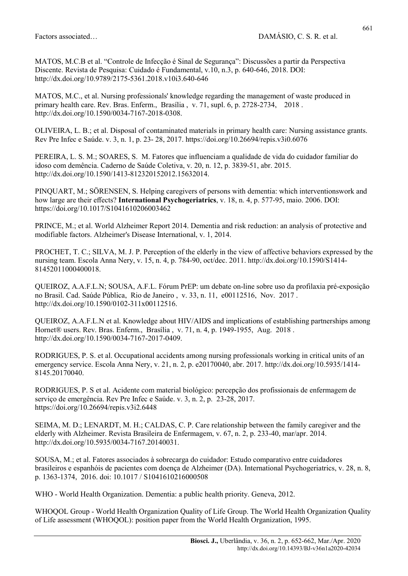MATOS, M.C.B et al. "Controle de Infecção é Sinal de Segurança": Discussões a partir da Perspectiva Discente. Revista de Pesquisa: Cuidado é Fundamental, v.10, n.3, p. 640-646, 2018. DOI: http://dx.doi.org/10.9789/2175-5361.2018.v10i3.640-646

MATOS, M.C., et al. Nursing professionals' knowledge regarding the management of waste produced in primary health care. Rev. Bras. Enferm., Brasília , v. 71, supl. 6, p. 2728-2734, 2018 . http://dx.doi.org/10.1590/0034-7167-2018-0308.

OLIVEIRA, L. B.; et al. Disposal of contaminated materials in primary health care: Nursing assistance grants. Rev Pre Infec e Saúde. v. 3, n. 1, p. 23- 28, 2017. https://doi.org/10.26694/repis.v3i0.6076

PEREIRA, L. S. M.; SOARES, S. M. Fatores que influenciam a qualidade de vida do cuidador familiar do idoso com demência. Caderno de Saúde Coletiva, v. 20, n. 12, p. 3839-51, abr. 2015. http://dx.doi.org/10.1590/1413-812320152012.15632014.

PINQUART, M.; SÖRENSEN, S. Helping caregivers of persons with dementia: which interventionswork and how large are their effects? **International Psychogeriatrics**, v. 18, n. 4, p. 577-95, maio. 2006. DOI: https://doi.org/10.1017/S1041610206003462

PRINCE, M.; et al. World Alzheimer Report 2014. Dementia and risk reduction: an analysis of protective and modifiable factors. Alzheimer's Disease International, v. 1, 2014.

PROCHET, T. C.; SILVA, M. J. P. Perception of the elderly in the view of affective behaviors expressed by the nursing team. Escola Anna Nery, v. 15, n. 4, p. 784-90, oct/dec. 2011. http://dx.doi.org/10.1590/S1414- 81452011000400018.

QUEIROZ, A.A.F.L.N; SOUSA, A.F.L. Fórum PrEP: um debate on-line sobre uso da profilaxia pré-exposição no Brasil. Cad. Saúde Pública, Rio de Janeiro , v. 33, n. 11, e00112516, Nov. 2017 . http://dx.doi.org/10.1590/0102-311x00112516.

QUEIROZ, A.A.F.L.N et al. Knowledge about HIV/AIDS and implications of establishing partnerships among Hornet® users. Rev. Bras. Enferm., Brasília , v. 71, n. 4, p. 1949-1955, Aug. 2018 . http://dx.doi.org/10.1590/0034-7167-2017-0409.

RODRIGUES, P. S. et al. Occupational accidents among nursing professionals working in critical units of an emergency service. Escola Anna Nery, v. 21, n. 2, p. e20170040, abr. 2017. http://dx.doi.org/10.5935/1414- 8145.20170040.

RODRIGUES, P. S et al. Acidente com material biológico: percepção dos profissionais de enfermagem de serviço de emergência. Rev Pre Infec e Saúde. v. 3, n. 2, p. 23-28, 2017. https://doi.org/10.26694/repis.v3i2.6448

SEIMA, M. D.; LENARDT, M. H.; CALDAS, C. P. Care relationship between the family caregiver and the elderly with Alzheimer. Revista Brasileira de Enfermagem, v. 67, n. 2, p. 233-40, mar/apr. 2014. http://dx.doi.org/10.5935/0034-7167.20140031.

SOUSA, M.; et al. Fatores associados à sobrecarga do cuidador: Estudo comparativo entre cuidadores brasileiros e espanhóis de pacientes com doença de Alzheimer (DA). International Psychogeriatrics, v. 28, n. 8, p. 1363-1374, 2016. doi: 10.1017 / S1041610216000508

WHO - World Health Organization. Dementia: a public health priority. Geneva, 2012.

WHOQOL Group - World Health Organization Quality of Life Group. The World Health Organization Quality of Life assessment (WHOQOL): position paper from the World Health Organization, 1995.